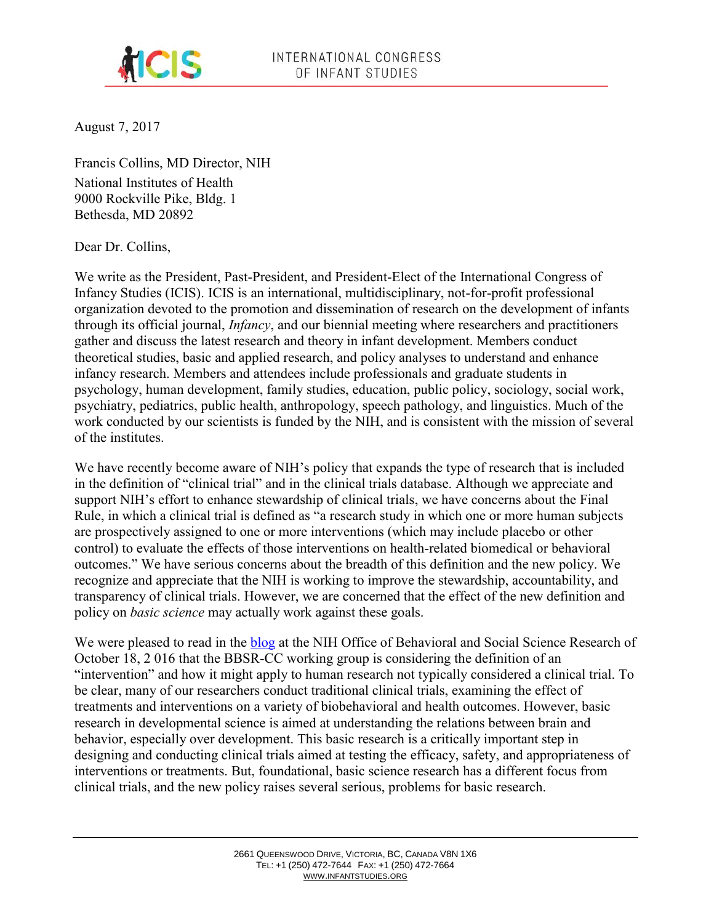

August 7, 2017

Francis Collins, MD Director, NIH National Institutes of Health 9000 Rockville Pike, Bldg. 1 Bethesda, MD 20892

Dear Dr. Collins,

We write as the President, Past-President, and President-Elect of the International Congress of Infancy Studies (ICIS). ICIS is an international, multidisciplinary, not-for-profit professional organization devoted to the promotion and dissemination of research on the development of infants through its official journal, *Infancy*, and our biennial meeting where researchers and practitioners gather and discuss the latest research and theory in infant development. Members conduct theoretical studies, basic and applied research, and policy analyses to understand and enhance infancy research. Members and attendees include professionals and graduate students in psychology, human development, family studies, education, public policy, sociology, social work, psychiatry, pediatrics, public health, anthropology, speech pathology, and linguistics. Much of the work conducted by our scientists is funded by the NIH, and is consistent with the mission of several of the institutes.

We have recently become aware of NIH's policy that expands the type of research that is included in the definition of "clinical trial" and in the clinical trials database. Although we appreciate and support NIH's effort to enhance stewardship of clinical trials, we have concerns about the Final Rule, in which a clinical trial is defined as "a research study in which one or more human subjects are prospectively assigned to one or more interventions (which may include placebo or other control) to evaluate the effects of those interventions on health-related biomedical or behavioral outcomes." We have serious concerns about the breadth of this definition and the new policy. We recognize and appreciate that the NIH is working to improve the stewardship, accountability, and transparency of clinical trials. However, we are concerned that the effect of the new definition and policy on *basic science* may actually work against these goals.

We were pleased to read in the [blog](https://obssr.od.nih.gov/new-nih-clinical-trials-policies-implications-for-behavioral-and-social-science-researchers/) at the NIH Office of Behavioral and Social Science Research of October 18, 2 016 that the BBSR-CC working group is considering the definition of an "intervention" and how it might apply to human research not typically considered a clinical trial. To be clear, many of our researchers conduct traditional clinical trials, examining the effect of treatments and interventions on a variety of biobehavioral and health outcomes. However, basic research in developmental science is aimed at understanding the relations between brain and behavior, especially over development. This basic research is a critically important step in designing and conducting clinical trials aimed at testing the efficacy, safety, and appropriateness of interventions or treatments. But, foundational, basic science research has a different focus from clinical trials, and the new policy raises several serious, problems for basic research.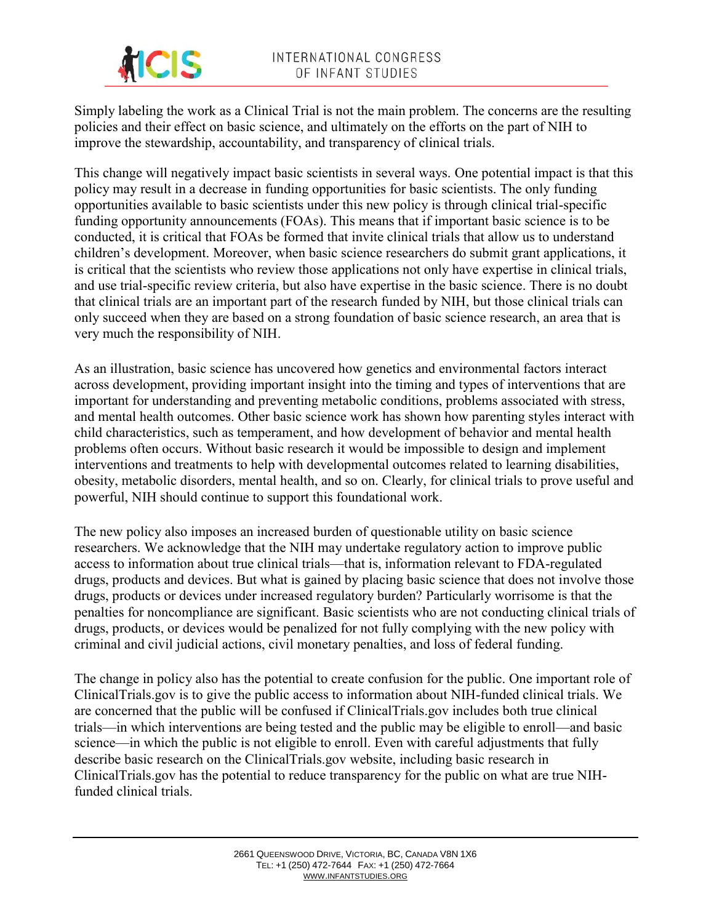

Simply labeling the work as a Clinical Trial is not the main problem. The concerns are the resulting policies and their effect on basic science, and ultimately on the efforts on the part of NIH to improve the stewardship, accountability, and transparency of clinical trials.

This change will negatively impact basic scientists in several ways. One potential impact is that this policy may result in a decrease in funding opportunities for basic scientists. The only funding opportunities available to basic scientists under this new policy is through clinical trial-specific funding opportunity announcements (FOAs). This means that if important basic science is to be conducted, it is critical that FOAs be formed that invite clinical trials that allow us to understand children's development. Moreover, when basic science researchers do submit grant applications, it is critical that the scientists who review those applications not only have expertise in clinical trials, and use trial-specific review criteria, but also have expertise in the basic science. There is no doubt that clinical trials are an important part of the research funded by NIH, but those clinical trials can only succeed when they are based on a strong foundation of basic science research, an area that is very much the responsibility of NIH.

As an illustration, basic science has uncovered how genetics and environmental factors interact across development, providing important insight into the timing and types of interventions that are important for understanding and preventing metabolic conditions, problems associated with stress, and mental health outcomes. Other basic science work has shown how parenting styles interact with child characteristics, such as temperament, and how development of behavior and mental health problems often occurs. Without basic research it would be impossible to design and implement interventions and treatments to help with developmental outcomes related to learning disabilities, obesity, metabolic disorders, mental health, and so on. Clearly, for clinical trials to prove useful and powerful, NIH should continue to support this foundational work.

The new policy also imposes an increased burden of questionable utility on basic science researchers. We acknowledge that the NIH may undertake regulatory action to improve public access to information about true clinical trials—that is, information relevant to FDA-regulated drugs, products and devices. But what is gained by placing basic science that does not involve those drugs, products or devices under increased regulatory burden? Particularly worrisome is that the penalties for noncompliance are significant. Basic scientists who are not conducting clinical trials of drugs, products, or devices would be penalized for not fully complying with the new policy with criminal and civil judicial actions, civil monetary penalties, and loss of federal funding.

The change in policy also has the potential to create confusion for the public. One important role of ClinicalTrials.gov is to give the public access to information about NIH-funded clinical trials. We are concerned that the public will be confused if ClinicalTrials.gov includes both true clinical trials—in which interventions are being tested and the public may be eligible to enroll—and basic science—in which the public is not eligible to enroll. Even with careful adjustments that fully describe basic research on the ClinicalTrials.gov website, including basic research in ClinicalTrials.gov has the potential to reduce transparency for the public on what are true NIHfunded clinical trials.